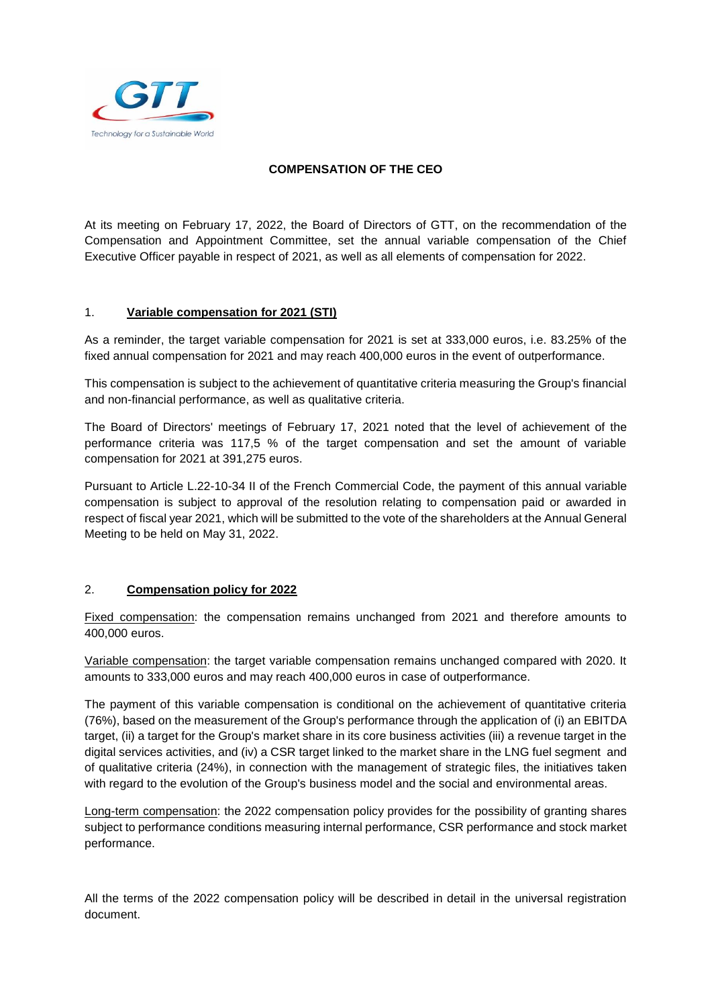

## **COMPENSATION OF THE CEO**

At its meeting on February 17, 2022, the Board of Directors of GTT, on the recommendation of the Compensation and Appointment Committee, set the annual variable compensation of the Chief Executive Officer payable in respect of 2021, as well as all elements of compensation for 2022.

## 1. **Variable compensation for 2021 (STI)**

As a reminder, the target variable compensation for 2021 is set at 333,000 euros, i.e. 83.25% of the fixed annual compensation for 2021 and may reach 400,000 euros in the event of outperformance.

This compensation is subject to the achievement of quantitative criteria measuring the Group's financial and non-financial performance, as well as qualitative criteria.

The Board of Directors' meetings of February 17, 2021 noted that the level of achievement of the performance criteria was 117,5 % of the target compensation and set the amount of variable compensation for 2021 at 391,275 euros.

Pursuant to Article L.22-10-34 II of the French Commercial Code, the payment of this annual variable compensation is subject to approval of the resolution relating to compensation paid or awarded in respect of fiscal year 2021, which will be submitted to the vote of the shareholders at the Annual General Meeting to be held on May 31, 2022.

## 2. **Compensation policy for 2022**

Fixed compensation: the compensation remains unchanged from 2021 and therefore amounts to 400,000 euros.

Variable compensation: the target variable compensation remains unchanged compared with 2020. It amounts to 333,000 euros and may reach 400,000 euros in case of outperformance.

The payment of this variable compensation is conditional on the achievement of quantitative criteria (76%), based on the measurement of the Group's performance through the application of (i) an EBITDA target, (ii) a target for the Group's market share in its core business activities (iii) a revenue target in the digital services activities, and (iv) a CSR target linked to the market share in the LNG fuel segment and of qualitative criteria (24%), in connection with the management of strategic files, the initiatives taken with regard to the evolution of the Group's business model and the social and environmental areas.

Long-term compensation: the 2022 compensation policy provides for the possibility of granting shares subject to performance conditions measuring internal performance, CSR performance and stock market performance.

All the terms of the 2022 compensation policy will be described in detail in the universal registration document.